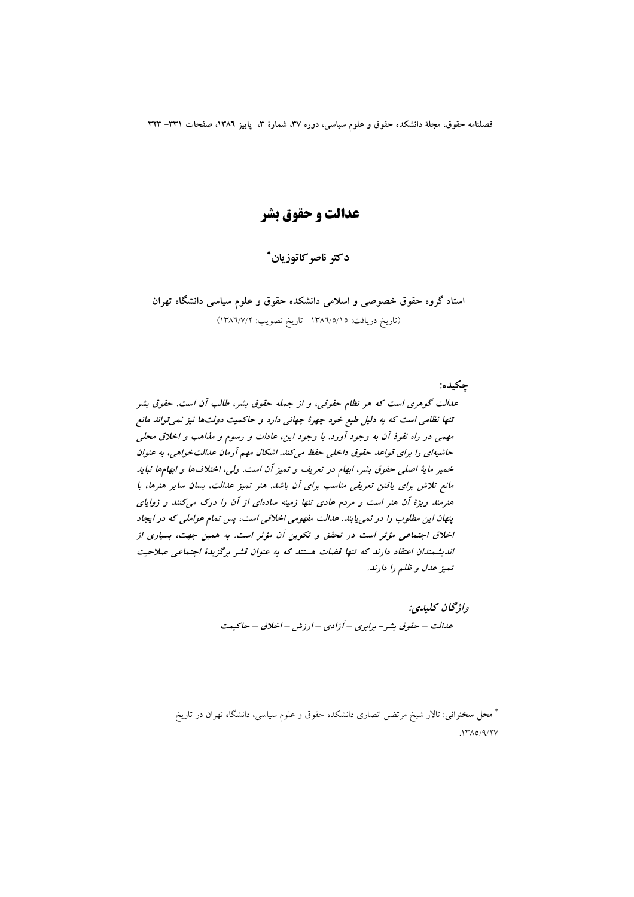عدالت و حقوق بشر

دكتر ناصر كاتوزيان\*

استاد گروه حقوق خصوصی و اسلامی دانشکده حقوق و علوم سیاسی دانشگاه تهران (تاريخ دريافت: ١٣٨٦/٥/١٥ تاريخ تصويب: ١٣٨٦/٧/٢)

جكيده: عدالت گوهری است که هر نظام حقوقی، و از جمله حقوق بشر، طالب آن است. حقوق بشر تنها نظامی است که به دلیل طبع خود چهرهٔ جهانی دارد و حاکمیت دولتها نیز نمی تواند مانع مهمی در راه نفوذ آن به وجود آورد. با وجود این، عادات و رسوم و مذاهب و اخلاق محلی حاشیهای را برای قواعد حقوق داخلی حفظ می کند. اشکال مهم آرمان عدالت خواهی، به عنوان خمیر مایهٔ اصلی حقوق بشر، ابهام در تعریف و تمیز آن است. ولی، اختلافها و ابهامها نباید مانع تلاش برای یافتن تعریفی مناسب برای آن باشد. هنر تمیز عدالت، بسان سایر هنرها، با هنرمند ویژهٔ آن هنر است و مردم عادی تنها زمینه سادهای از آن را درک میکنند و زوایای ینهان این مطلوب را در نمی پابند. عدالت مفهومی اخلاقی است، پس تمام عواملی که در ایجاد اخلاق اجتماعی مؤثر است در تحقق و تکوین آن مؤثر است. به همین جهت، بسیاری از اندیشمندان اعتقاد دارند که تنها قضات هستند که به عنوان قشر برگزیدهٔ اجتماعی صلاحیت تميز عدل و ظلم را دارند.

> واژگان كليدي: عدالت – حقوق بشر - برابري – آزادي – ارزش – اخلاق – حاكيمت

\* معحل **سخنرانی**: تالار شیخ مرتضی انصاری دانشکده حقوق و علوم سیاسی، دانشگاه تهران در تاریخ  $1700/9/7V$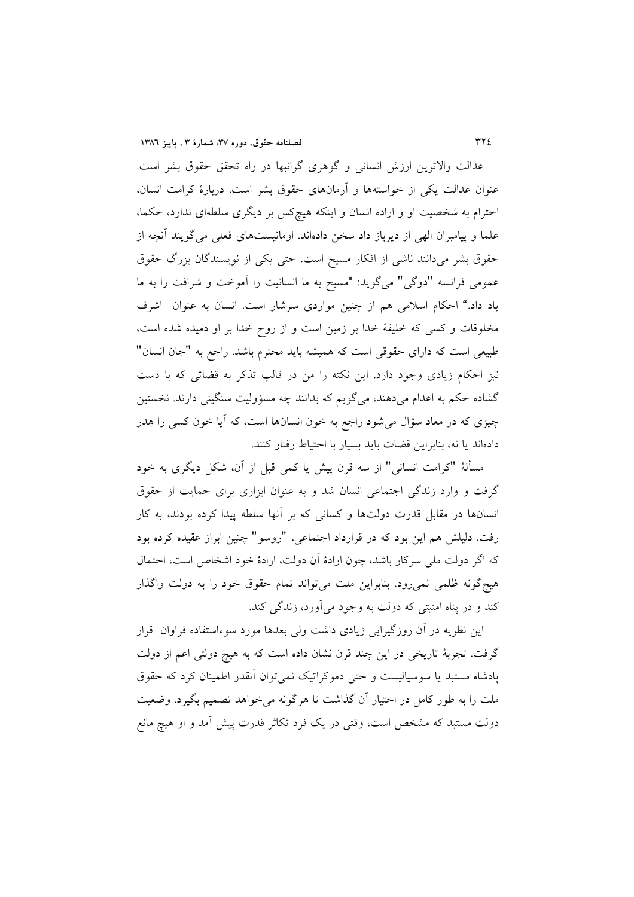عدالت والاترین ارزش انسانی و گوهری گرانبها در راه تحقق حقوق بشر است. عنوان عدالت یکی از خواستهها و آرمانهای حقوق بشر است. دربارهٔ کرامت انسان، احترام به شخصیت او و اراده انسان و اینکه هیچکس بر دیگری سلطهای ندارد، حکما، علما و پیامبران الهی از دیرباز داد سخن دادهاند. اومانیستهای فعلی می گویند آنچه از حقوق بشر میدانند ناشی از افکار مسیح است. حتی یکی از نویسندگان بزرگ حقوق عمومي فرانسه "دوگي" ميگويد: "مسيح به ما انسانيت را آموخت و شرافت را به ما یاد داد." احکام اسلامی هم از چنین مواردی سرشار است. انسان به عنوان اشرف مخلوقات و کسی که خلیفهٔ خدا بر زمین است و از روح خدا بر او دمیده شده است، طبیعی است که دارای حقوقی است که همیشه باید محترم باشد. راجع به "جان انسان" نیز احکام زیادی وجود دارد. این نکته را من در قالب تذکر به قضاتی که با دست گشاده حکم به اعدام میدهند، میگویم که بدانند چه مسؤولیت سنگینی دارند. نخستین چیزی که در معاد سؤال میشود راجع به خون انسانها است، که آیا خون کسی را هدر دادهاند یا نه، بنابراین قضات باید بسیار با احتیاط رفتار کنند.

مسألهٔ "کرامت انسانی" از سه قرن پیش یا کمی قبل از آن، شکل دیگری به خود گرفت و وارد زندگی اجتماعی انسان شد و به عنوان ابزاری برای حمایت از حقوق انسانها در مقابل قدرت دولتها و کسانی که بر آنها سلطه پیدا کرده بودند، به کار رفت. دلیلش هم این بود که در قرارداد اجتماعی، "روسو" چنین ابراز عقیده کرده بود كه اگر دولت ملي سركار باشد، چون ارادهٔ آن دولت، ارادهٔ خود اشخاص است، احتمال هیچگونه ظلمی نمی٫ود. بنابراین ملت میتواند تمام حقوق خود را به دولت واگذار کند و در پناه امنیتی که دولت به وجود می آورد، زندگی کند.

این نظریه در آن روزگیرایی زیادی داشت ولی بعدها مورد سوءاستفاده فراوان قرار گرفت. تجربهٔ تاریخی در این چند قرن نشان داده است که به هیچ دولتی اعم از دولت پادشاه مستبد یا سوسیالیست و حتی دموکراتیک نمی توان انقدر اطمینان کرد که حقوق ملت را به طور کامل در اختیار آن گذاشت تا هرگونه می خواهد تصمیم بگیرد. وضعیت دولت مستبد که مشخص است، وقتی در یک فرد تکاثر قدرت پیش آمد و او هیچ مانع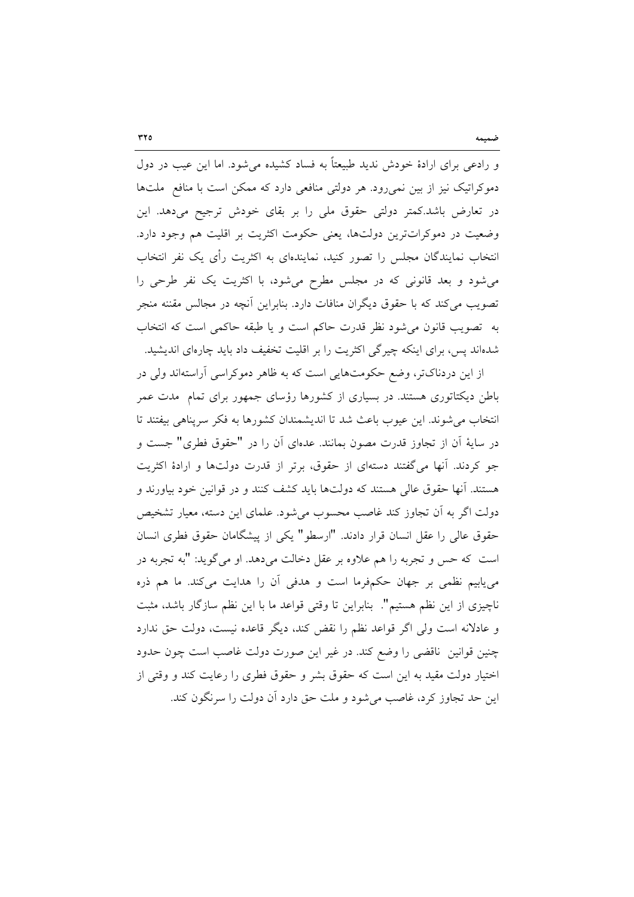و رادعی برای ارادهٔ خودش ندید طبیعتاً به فساد کشیده میشود. اما این عیب در دول دموکراتیک نیز از بین نمی رود. هر دولتی منافعی دارد که ممکن است با منافع ملتها در تعارض باشد.کمتر دولتی حقوق ملی را بر بقای خودش ترجیح میدهد. این وضعیت در دموکراتترین دولتها، یعنی حکومت اکثریت بر اقلیت هم وجود دارد. انتخاب نمایندگان مجلس را تصور کنید، نمایندهای به اکثریت رأی یک نفر انتخاب می شود و بعد قانونی که در مجلس مطرح می شود، با اکثریت یک نفر طرحی را تصویب میکند که با حقوق دیگران منافات دارد. بنابراین آنچه در مجالس مقننه منجر به تصويب قانون مي شود نظر قدرت حاكم است و يا طبقه حاكمي است كه انتخاب شدهاند پس، برای اینکه چیرگی اکثریت را بر اقلیت تخفیف داد باید چارهای اندیشید.

از این دردناکتر، وضع حکومتهایی است که به ظاهر دموکراسی آراستهاند ولی در باطن دیکتاتوری هستند. در بسیاری از کشورها رؤسای جمهور برای تمام ًمدت عمر انتخاب می شوند. این عیوب باعث شد تا اندیشمندان کشورها به فکر سرپناهی بیفتند تا در سایهٔ أن از تجاوز قدرت مصون بمانند. عدمای أن را در "حقوق فطری" جست و جو کردند. آنها میگفتند دستهای از حقوق، برتر از قدرت دولتها و ارادهٔ اکثریت هستند. أنها حقوق عالی هستند که دولتها باید کشف کنند و در قوانین خود بیاورند و دولت اگر به آن تجاوز کند غاصب محسوب میشود. علمای این دسته، معیار تشخیص حقوق عالی را عقل انسان قرار دادند. "ارسطو" یکی از پیشگامان حقوق فطری انسان است که حس و تجربه را هم علاوه بر عقل دخالت میدهد. او میگوید: "به تجربه در می یابیم نظمی بر جهان حکمفرما است و هدفی آن را هدایت میکند. ما هم ذره ناچیزی از این نظم هستیم". بنابراین تا وقتی قواعد ما با این نظم سازگار باشد، مثبت و عادلانه است ولي اگر قواعد نظم را نقض كند، ديگر قاعده نيست، دولت حق ندارد چنین قوانین ناقضی را وضع کند. در غیر این صورت دولت غاصب است چون حدود اختیار دولت مقید به این است که حقوق بشر و حقوق فطری را رعایت کند و وقتی از این حد تجاوز کرد، غاصب می شود و ملت حق دارد آن دولت را سرنگون کند.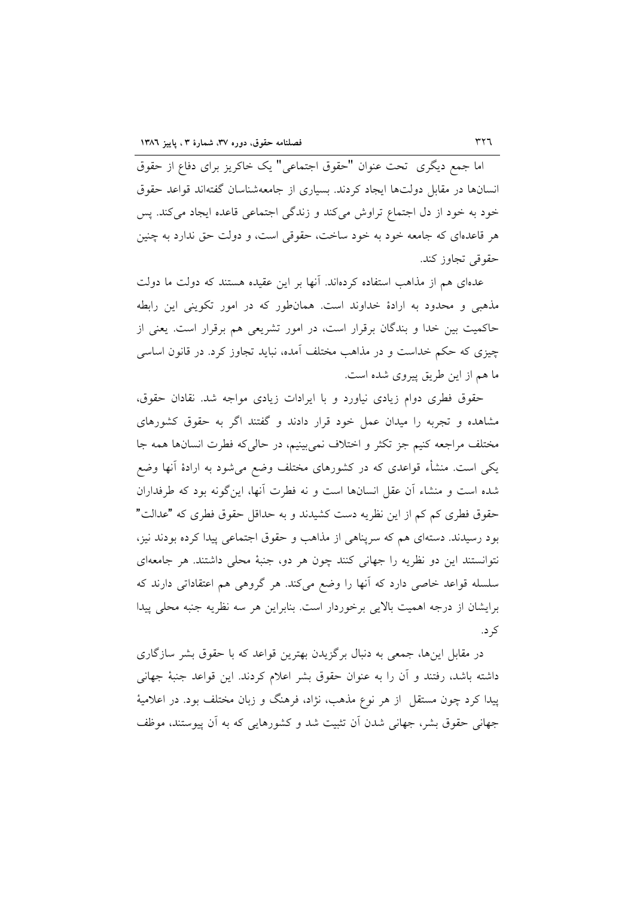اما جمع دیگری تحت عنوان "حقوق اجتماعی" یک خاکریز برای دفاع از حقوق انسانها در مقابل دولتها ايجاد كردند. بسياري از جامعهشناسان گفتهاند قواعد حقوق خود به خود از دل اجتماع تراوش میکند و زندگی اجتماعی قاعده ایجاد میکند. پس هر قاعدهای که جامعه خود به خود ساخت، حقوقی است، و دولت حق ندارد به چنین حقوقی تجاوز کند.

عدهای هم از مذاهب استفاده کردهاند. آنها بر این عقیده هستند که دولت ما دولت مذهبی و محدود به ارادهٔ خداوند است. همانطور که در امور تکوینی این رابطه حاکمیت بین خدا و بندگان برقرار است، در امور تشریعی هم برقرار است. یعنی از چیزی که حکم خداست و در مذاهب مختلف آمده، نباید تجاوز کرد. در قانون اساسی ما هم از این طریق پیروی شده است.

حقوق فطری دوام زیادی نیاورد و با ایرادات زیادی مواجه شد. نقادان حقوق، مشاهده و تجربه را میدان عمل خود قرار دادند و گفتند اگر به حقوق کشورهای مختلف مراجعه كنيم جز تكثر و اختلاف نمىبينيم، در حاليكه فطرت انسانها همه جا یکی است. منشأء قواعدی که در کشورهای مختلف وضع میشود به ارادهٔ آنها وضع شده است و منشاء آن عقل انسانها است و نه فطرت آنها، این گونه بود که طرفداران حقوق فطری کم کم از این نظریه دست کشیدند و به حداقل حقوق فطری که "عدالت" بود رسیدند. دستهای هم که سرپناهی از مذاهب و حقوق اجتماعی پیدا کرده بودند نیز، نتوانستند این دو نظریه را جهانی کنند چون هر دو، جنبهٔ محلی داشتند. هر جامعهای سلسله قواعد خاصی دارد که آنها را وضع میکند. هر گروهی هم اعتقاداتی دارند که برایشان از درجه اهمیت بالایی برخوردار است. بنابراین هر سه نظریه جنبه محلی پیدا کر د.

در مقابل اینها، جمعی به دنبال برگزیدن بهترین قواعد که با حقوق بشر سازگاری داشته باشد، رفتند و آن را به عنوان حقوق بشر اعلام کردند. این قواعد جنبهٔ جهانی پیدا کرد چون مستقل از هر نوع مذهب، نژاد، فرهنگ و زبان مختلف بود. در اعلامیهٔ جهانی حقوق بشر، جهانی شدن آن تثبیت شد و کشورهایی که به آن پیوستند، موظف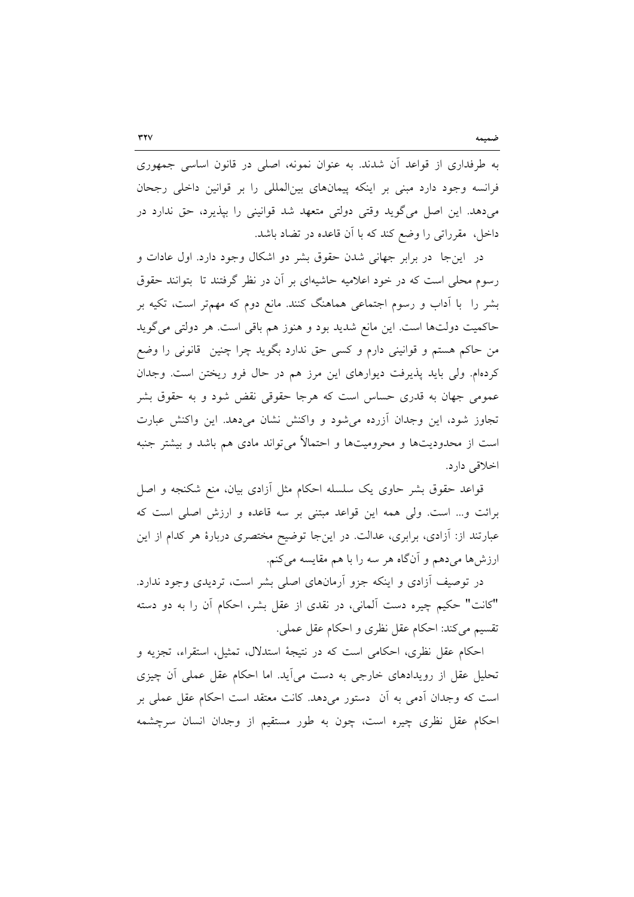به طرفداری از قواعد آن شدند. به عنوان نمونه، اصلی در قانون اساسی جمهوری فرانسه وجود دارد مبنی بر اینکه پیمانهای بینالمللی را بر قوانین داخلی رجحان میدهد. این اصل میگوید وقتی دولتی متعهد شد قوانینی را بپذیرد، حق ندارد در داخل، مقرراتی را وضع کند که با آن قاعده در تضاد باشد.

در اینجا در برابر جهانی شدن حقوق بشر دو اشکال وجود دارد. اول عادات و رسوم محلی است که در خود اعلامیه حاشیهای بر آن در نظر گرفتند تا بتوانند حقوق بشر را ً با اَداب و رسوم اجتماعی هماهنگ کنند. مانع دوم که مهمتر است، تکیه بر حاکمیت دولتها است. این مانع شدید بود و هنوز هم باقی است. هر دولتی میگوید من حاکم هستم و قوانینی دارم و کسی حق ندارد بگوید چرا چنین قانونی را وضع کردهام. ولی باید پذیرفت دیوارهای این مرز هم در حال فرو ریختن است. وجدان عمومی جهان به قدری حساس است که هرجا حقوقی نقض شود و به حقوق بشر تجاوز شود، این وجدان آزرده میشود و واکنش نشان میدهد. این واکنش عبارت است از محدودیتها و محرومیتها و احتمالاً میتواند مادی هم باشد و بیشتر جنبه اخلاقی دارد.

قواعد حقوق بشر حاوی یک سلسله احکام مثل آزادی بیان، منع شکنجه و اصل برائت و... است. ولي همه اين قواعد مبتني بر سه قاعده و ارزش اصلي است كه عبارتند از: آزادی، برابری، عدالت. در اینجا توضیح مختصری دربارهٔ هر کدام از این ارزشها میدهم و آنگاه هر سه را با هم مقایسه میکنم.

در توصیف آزادی و اینکه جزو آرمانهای اصلی بشر است، تردیدی وجود ندارد. "كانت" حكيم چيره دست آلماني، در نقدي از عقل بشر، احكام آن را به دو دسته تقسيم مي كند: احكام عقل نظري و احكام عقل عملي.

احکام عقل نظری، احکامی است که در نتیجهٔ استدلال، تمثیل، استقراء، تجزیه و تحلیل عقل از رویدادهای خارجی به دست میآید. اما احکام عقل عملی آن چیزی است که وجدان آدمی به آن دستور میدهد. کانت معتقد است احکام عقل عملی بر احکام عقل نظری چیره است، چون به طور مستقیم از وجدان انسان سرچشمه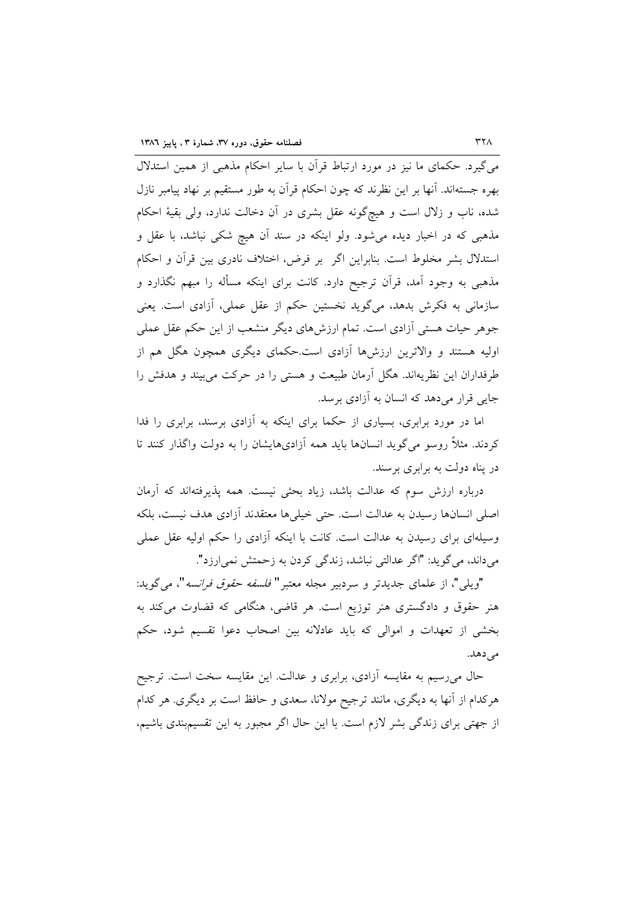می گیرد. حکمای ما نیز در مورد ارتباط قرآن با سایر احکام مذهبی از همین استدلال بهره جستهاند. آنها بر این نظرند که چون احکام قرآن به طور مستقیم بر نهاد پیامبر نازل شده، ناب و زلال است و هیچگونه عقل بشری در آن دخالت ندارد، ولی بقیهٔ احکام مذهبی که در اخبار دیده میشود. ولو اینکه در سند آن هیچ شکی نباشد، با عقل و استدلال بشر مخلوط است. بنابراین اگر بر فرض، اختلاف نادری بین قرآن و احکام مذهبی به وجود آمد، قرأن ترجیح دارد. کانت برای اینکه مسأله را مبهم نگذارد و سازمانی به فکرش بدهد، میگوید نخستین حکم از عقل عملی، آزادی است. یعنی جوهر حیات هستی آزادی است. تمام ارزشهای دیگر منشعب از این حکم عقل عملی اولیه هستند و والاترین ارزشها آزادی است.حکمای دیگری همچون هگل هم از طرفداران این نظریهاند. هگل آرمان طبیعت و هستی را در حرکت می بیند و هدفش را جایی قرار میدهد که انسان به آزادی برسد.

اما در مورد برابری، بسیاری از حکما برای اینکه به آزادی برسند، برابری را فدا کردند. مثلاً روسو می گوید انسانها باید همه آزادیهایشان را به دولت واگذار کنند تا در پناه دولت به برابری برسند.

درباره ارزش سوم که عدالت باشد، زیاد بحثی نیست. همه پذیرفتهاند که آرمان اصلی انسانها رسیدن به عدالت است. حتی خیلیها معتقدند آزادی هدف نیست، بلکه وسیلهای برای رسیدن به عدالت است. کانت با اینکه آزادی را حکم اولیه عقل عملی میداند، می گوید: "اگر عدالتی نباشد، زندگی کردن به زحمتش نمی ارزد".

"ويلي"، از علماي جديدتر و سردبير مجله معتبر" *فلسفه حقوق فرانسه*"، مي گويد: هنر حقوق و دادگستری هنر توزیع است. هر قاضی، هنگامی که قضاوت میکند به بخشی از تعهدات و اموالی که باید عادلانه بین اصحاب دعوا تقسیم شود، حکم مے زدھلہ۔

حال میرسیم به مقایسه آزادی، برابری و عدالت. این مقایسه سخت است. ترجیح هرکدام از آنها به دیگری، مانند ترجیح مولانا، سعدی و حافظ است بر دیگری. هر کدام از جهتی برای زندگی بشر لازم است. با این حال اگر مجبور به این تقسیمبندی باشیم،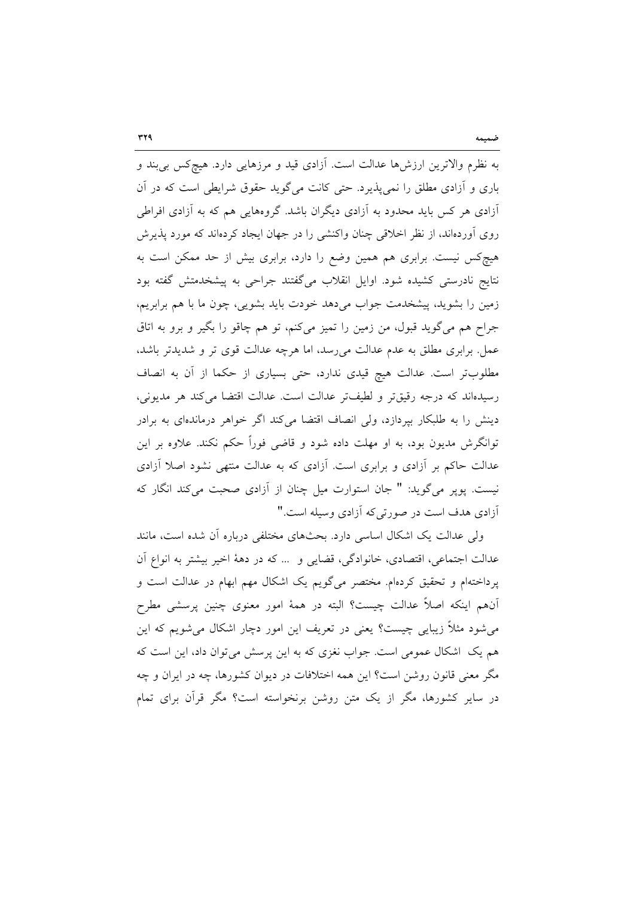به نظرم والاترین ارزشها عدالت است. آزادی قید و مرزهایی دارد. هیچکس بی بند و باری و آزادی مطلق را نمیپذیرد. حتی کانت میگوید حقوق شرایطی است که در آن آزادی هر کس باید محدود به آزادی دیگران باشد. گروههایی هم که به آزادی افراطی روی اَوردهاند، از نظر اخلاقی چنان واکنشی را در جهان ایجاد کردهاند که مورد پذیرش هیچکس نیست. برابری هم همین وضع را دارد، برابری بیش از حد ممکن است به نتایج نادرستی کشیده شود. اوایل انقلاب میگفتند جراحی به پیشخدمتش گفته بود زمین را بشوید، پیشخدمت جواب میدهد خودت باید بشویی، چون ما با هم برابریم، جراح هم میگوید قبول، من زمین را تمیز میکنم، تو هم چاقو را بگیر و برو به اتاق عمل. برابری مطلق به عدم عدالت می رسد، اما هرچه عدالت قوی تر و شدیدتر باشد، مطلوبتر است. عدالت هیچ قیدی ندارد، حتی بسیاری از حکما از آن به انصاف رسیدهاند که درجه رقیقتر و لطیفتر عدالت است. عدالت اقتضا میکند هر مدیونی، دینش را به طلبکار بپردازد، ولی انصاف اقتضا میکند اگر خواهر درماندهای به برادر توانگرش مدیون بود، به او مهلت داده شود و قاضی فوراً حکم نکند. علاوه بر این عدالت حاکم بر آزادی و برابری است. آزادی که به عدالت منتهی نشود اصلا آزادی نیست. پوپر میگوید: " جان استوارت میل چنان از آزادی صحبت میکند انگار که آزادی هدف است در صورتی که آزادی وسیله است."

ولی عدالت یک اشکال اساسی دارد. بحثهای مختلفی درباره آن شده است، مانند عدالت اجتماعی، اقتصادی، خانوادگی، قضایی و … که در دههٔ اخیر بیشتر به انواع آن پرداختهام و تحقیق کردهام. مختصر میگویم یک اشکال مهم ابهام در عدالت است و آنهم اینکه اصلاً عدالت چیست؟ البته در همهٔ امور معنوی چنین پرسشی مطرح میشود مثلاً زیبایی چیست؟ یعنی در تعریف این امور دچار اشکال میشویم که این هم یک اشکال عمومی است. جواب نغزی که به این پرسش میتوان داد، این است که مگر معنی قانون روشن است؟ این همه اختلافات در دیوان کشورها، چه در ایران و چه در سایر کشورها، مگر از یک متن روشن برنخواسته است؟ مگر قرآن برای تمام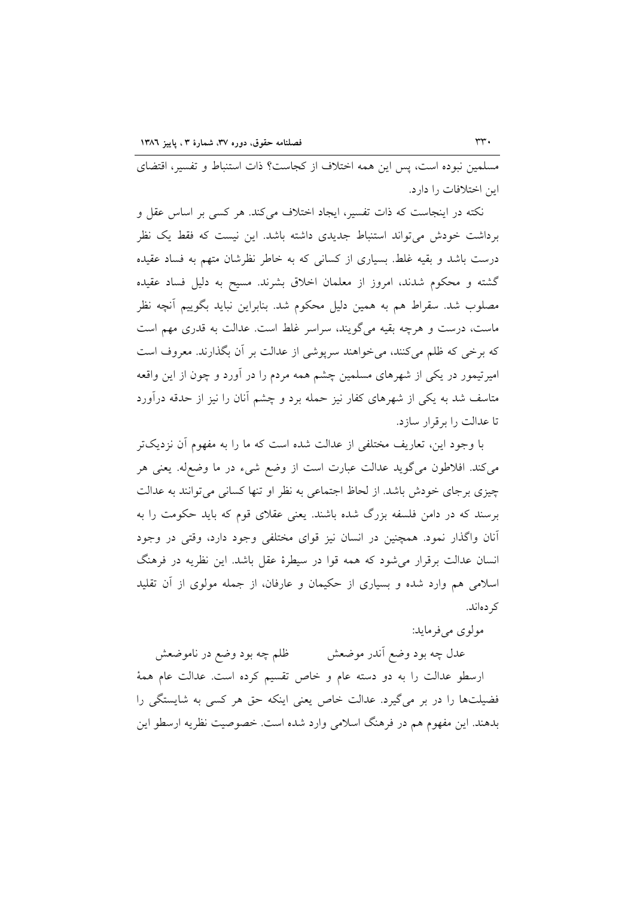مسلمین نبوده است، پس این همه اختلاف از کجاست؟ ذات استنباط و تفسیر، اقتضای این اختلافات را دارد.

نکته در اینجاست که ذات تفسیر، ایجاد اختلاف میکند. هر کسی بر اساس عقل و برداشت خودش می تواند استنباط جدیدی داشته باشد. این نیست که فقط یک نظر درست باشد و بقیه غلط. بسیاری از کسانی که به خاطر نظرشان متهم به فساد عقیده گشته و محکوم شدند، امروز از معلمان اخلاق بشرند. مسیح به دلیل فساد عقیده مصلوب شد. سقراط هم به همین دلیل محکوم شد. بنابراین نباید بگوییم آنچه نظر ماست، درست و هرچه بقیه میگویند، سراسر غلط است. عدالت به قدری مهم است که برخی که ظلم میکنند، می خواهند سرپوشی از عدالت بر آن بگذارند. معروف است امیرتیمور در یکی از شهرهای مسلمین چشم همه مردم را در آورد و چون از این واقعه متاسف شد به یکی از شهرهای کفار نیز حمله برد و چشم آنان را نیز از حدقه درآورد تا عدالت را بر قرار سازد.

با وجود این، تعاریف مختلفی از عدالت شده است که ما را به مفهوم آن نزدیکتر میکند. افلاطون میگوید عدالت عبارت است از وضع شیء در ما وضع۵له. یعنی هر چیزی برجای خودش باشد. از لحاظ اجتماعی به نظر او تنها کسانی می توانند به عدالت برسند که در دامن فلسفه بزرگ شده باشند. یعنی عقلای قوم که باید حکومت را به آنان واگذار نمود. همچنین در انسان نیز قوای مختلفی وجود دارد، وقتی در وجود انسان عدالت برقرار می شود که همه قوا در سیطرهٔ عقل باشد. این نظریه در فرهنگ اسلامی هم وارد شده و بسیاری از حکیمان و عارفان، از جمله مولوی از آن تقلید کر دهاند.

مولوي مي فرمايد:

عدل چه بود وضع أندر موضعش ظلم چه بود وضع در ناموضعش ارسطو عدالت را به دو دسته عام و خاص تقسیم کرده است. عدالت عام همهٔ فضیلتها را در بر میگیرد. عدالت خاص یعنی اینکه حق هر کسی به شایستگی را بدهند. این مفهوم هم در فرهنگ اسلامی وارد شده است. خصوصیت نظریه ارسطو این